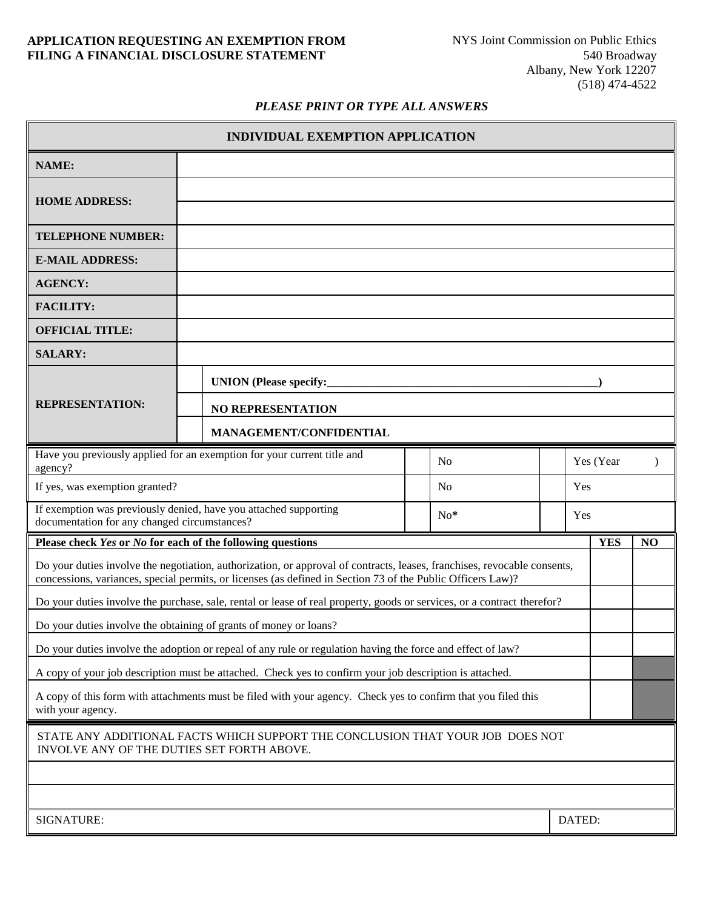### **APPLICATION REQUESTING AN EXEMPTION FROM FILING A FINANCIAL DISCLOSURE STATEMENT**

#### *PLEASE PRINT OR TYPE ALL ANSWERS*

| <b>INDIVIDUAL EXEMPTION APPLICATION</b>                                                                                                                                                                                                 |                               |  |  |  |           |            |                |
|-----------------------------------------------------------------------------------------------------------------------------------------------------------------------------------------------------------------------------------------|-------------------------------|--|--|--|-----------|------------|----------------|
| <b>NAME:</b>                                                                                                                                                                                                                            |                               |  |  |  |           |            |                |
| <b>HOME ADDRESS:</b>                                                                                                                                                                                                                    |                               |  |  |  |           |            |                |
| <b>TELEPHONE NUMBER:</b>                                                                                                                                                                                                                |                               |  |  |  |           |            |                |
| <b>E-MAIL ADDRESS:</b>                                                                                                                                                                                                                  |                               |  |  |  |           |            |                |
| <b>AGENCY:</b>                                                                                                                                                                                                                          |                               |  |  |  |           |            |                |
| <b>FACILITY:</b>                                                                                                                                                                                                                        |                               |  |  |  |           |            |                |
| <b>OFFICIAL TITLE:</b>                                                                                                                                                                                                                  |                               |  |  |  |           |            |                |
| <b>SALARY:</b>                                                                                                                                                                                                                          |                               |  |  |  |           |            |                |
| <b>REPRESENTATION:</b>                                                                                                                                                                                                                  | <b>UNION</b> (Please specify: |  |  |  |           |            |                |
|                                                                                                                                                                                                                                         | <b>NO REPRESENTATION</b>      |  |  |  |           |            |                |
|                                                                                                                                                                                                                                         | MANAGEMENT/CONFIDENTIAL       |  |  |  |           |            |                |
| Have you previously applied for an exemption for your current title and<br>N <sub>o</sub><br>agency?                                                                                                                                    |                               |  |  |  | Yes (Year |            |                |
| If yes, was exemption granted?<br>N <sub>0</sub>                                                                                                                                                                                        |                               |  |  |  | Yes       |            |                |
| If exemption was previously denied, have you attached supporting<br>$No*$<br>documentation for any changed circumstances?                                                                                                               |                               |  |  |  | Yes       |            |                |
| Please check Yes or No for each of the following questions                                                                                                                                                                              |                               |  |  |  |           | <b>YES</b> | N <sub>O</sub> |
| Do your duties involve the negotiation, authorization, or approval of contracts, leases, franchises, revocable consents,<br>concessions, variances, special permits, or licenses (as defined in Section 73 of the Public Officers Law)? |                               |  |  |  |           |            |                |
| Do your duties involve the purchase, sale, rental or lease of real property, goods or services, or a contract therefor?                                                                                                                 |                               |  |  |  |           |            |                |
| Do your duties involve the obtaining of grants of money or loans?                                                                                                                                                                       |                               |  |  |  |           |            |                |
| Do your duties involve the adoption or repeal of any rule or regulation having the force and effect of law?                                                                                                                             |                               |  |  |  |           |            |                |
| A copy of your job description must be attached. Check yes to confirm your job description is attached.                                                                                                                                 |                               |  |  |  |           |            |                |
| A copy of this form with attachments must be filed with your agency. Check yes to confirm that you filed this<br>with your agency.                                                                                                      |                               |  |  |  |           |            |                |
| STATE ANY ADDITIONAL FACTS WHICH SUPPORT THE CONCLUSION THAT YOUR JOB DOES NOT<br>INVOLVE ANY OF THE DUTIES SET FORTH ABOVE.                                                                                                            |                               |  |  |  |           |            |                |
|                                                                                                                                                                                                                                         |                               |  |  |  |           |            |                |
|                                                                                                                                                                                                                                         |                               |  |  |  |           |            |                |
| DATED:<br>SIGNATURE:                                                                                                                                                                                                                    |                               |  |  |  |           |            |                |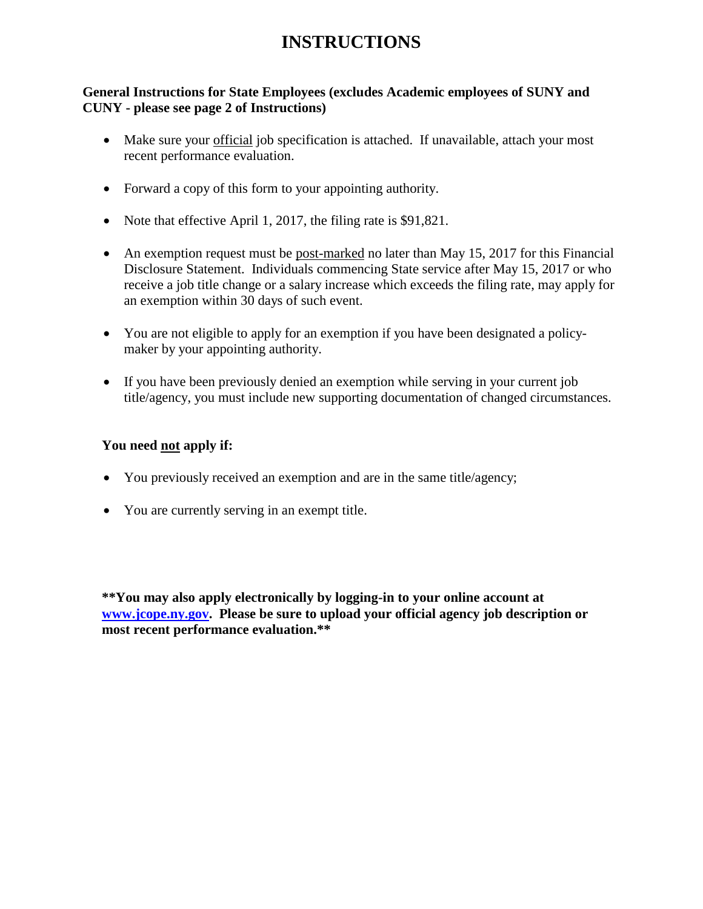# **INSTRUCTIONS**

# **General Instructions for State Employees (excludes Academic employees of SUNY and CUNY - please see page 2 of Instructions)**

- Make sure your official job specification is attached. If unavailable, attach your most recent performance evaluation.
- Forward a copy of this form to your appointing authority.
- Note that effective April 1, 2017, the filing rate is \$91,821.
- An exemption request must be post-marked no later than May 15, 2017 for this Financial Disclosure Statement. Individuals commencing State service after May 15, 2017 or who receive a job title change or a salary increase which exceeds the filing rate, may apply for an exemption within 30 days of such event.
- You are not eligible to apply for an exemption if you have been designated a policymaker by your appointing authority.
- If you have been previously denied an exemption while serving in your current job title/agency, you must include new supporting documentation of changed circumstances.

# **You need not apply if:**

- You previously received an exemption and are in the same title/agency;
- You are currently serving in an exempt title.

**\*\*You may also apply electronically by logging-in to your online account at [www.jcope.ny.gov.](http://www.jcope.ny.gov/) Please be sure to upload your official agency job description or most recent performance evaluation.\*\***